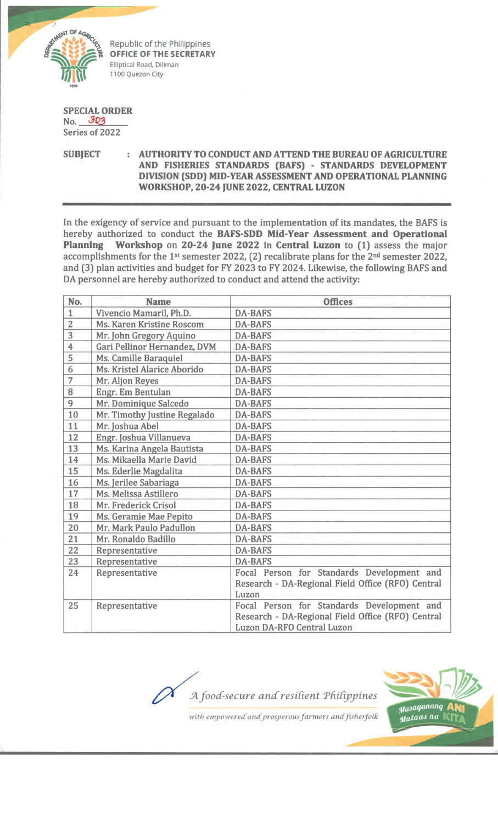

Republic of the Philippines **OFFICE OF THE SECRETARY** Elliptical Road, Diliman 1100 Quezon City

## **SPECIAL ORDER**

No. *'3Q3* Series of 2022

**SUBJECT : AUTHORITY TO CONDUCT AND ATTEND THE BUREAU OF AGRICULTURE AND FISHERIES STANDARDS (BAFS) - STANDARDS DEVELOPMENT DIVISION (SDD) MID-YEAR ASSESSMENT AND OPERATIONAL PLANNING WORKSHOP, 20-24 JUNE 2022, CENTRAL LUZON**

In the exigency of service and pursuant to the implementation of its mandates, the BAFS is hereby authorized to conduct the **BAFS-SDD Mid-Year Assessment and Operational Planning Workshop** on **20-24 June 2022** in **Central Luzon** to **(1)** assess the major accomplishments for the 1<sup>st</sup> semester 2022, (2) recalibrate plans for the 2<sup>nd</sup> semester 2022, and (3) plan activities and budget for FY 2023 to FY 2024. Likewise, the following BAFS and DA personnel are hereby authorized to conduct and attend the activity:

| No.            | <b>Name</b>                  | <b>Offices</b>                                    |
|----------------|------------------------------|---------------------------------------------------|
| $\mathbf{1}$   | Vivencio Mamaril, Ph.D.      | <b>DA-BAFS</b>                                    |
| $\overline{2}$ | Ms. Karen Kristine Roscom    | <b>DA-BAFS</b>                                    |
| $\overline{3}$ | Mr. John Gregory Aquino      | <b>DA-BAFS</b>                                    |
| 4              | Gari Pellinor Hernandez, DVM | <b>DA-BAFS</b>                                    |
| 5              | Ms. Camille Baraquiel        | <b>DA-BAFS</b>                                    |
| 6              | Ms. Kristel Alarice Aborido  | <b>DA-BAFS</b>                                    |
| $\overline{7}$ | Mr. Aljon Reyes              | <b>DA-BAFS</b>                                    |
| 8              | Engr. Em Bentulan            | <b>DA-BAFS</b>                                    |
| 9              | Mr. Dominique Salcedo        | <b>DA-BAFS</b>                                    |
| 10             | Mr. Timothy Justine Regalado | <b>DA-BAFS</b>                                    |
| 11             | Mr. Joshua Abel              | <b>DA-BAFS</b>                                    |
| 12             | Engr. Joshua Villanueva      | <b>DA-BAFS</b>                                    |
| 13             | Ms. Karina Angela Bautista   | <b>DA-BAFS</b>                                    |
| 14             | Ms. Mikaella Marie David     | <b>DA-BAFS</b>                                    |
| 15             | Ms. Ederlie Magdalita        | <b>DA-BAFS</b>                                    |
| 16             | Ms. Jerilee Sabariaga        | <b>DA-BAFS</b>                                    |
| 17             | Ms. Melissa Astillero        | <b>DA-BAFS</b>                                    |
| 18             | Mr. Frederick Crisol         | <b>DA-BAFS</b>                                    |
| 19             | Ms. Geramie Mae Pepito       | <b>DA-BAFS</b>                                    |
| 20             | Mr. Mark Paulo Padullon      | <b>DA-BAFS</b>                                    |
| 21             | Mr. Ronaldo Badillo          | <b>DA-BAFS</b>                                    |
| 22             | Representative               | <b>DA-BAFS</b>                                    |
| 23             | Representative               | <b>DA-BAFS</b>                                    |
| 24             | Representative               | Focal Person for Standards Development and        |
|                |                              | Research - DA-Regional Field Office (RFO) Central |
|                |                              | Luzon                                             |
| 25             | Representative               | Focal Person for Standards Development and        |
|                |                              | Research - DA-Regional Field Office (RFO) Central |
|                |                              | Luzon DA-RFO Central Luzon                        |

*A food-secure and resilient Philippines* **Masaganang** Mataas na

with empowered and prosperous farmers and fisherfolk